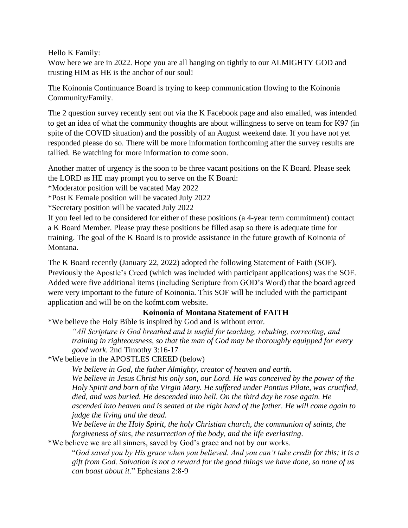Hello K Family:

Wow here we are in 2022. Hope you are all hanging on tightly to our ALMIGHTY GOD and trusting HIM as HE is the anchor of our soul!

The Koinonia Continuance Board is trying to keep communication flowing to the Koinonia Community/Family.

The 2 question survey recently sent out via the K Facebook page and also emailed, was intended to get an idea of what the community thoughts are about willingness to serve on team for K97 (in spite of the COVID situation) and the possibly of an August weekend date. If you have not yet responded please do so. There will be more information forthcoming after the survey results are tallied. Be watching for more information to come soon.

Another matter of urgency is the soon to be three vacant positions on the K Board. Please seek the LORD as HE may prompt you to serve on the K Board:

\*Moderator position will be vacated May 2022

\*Post K Female position will be vacated July 2022

\*Secretary position will be vacated July 2022

If you feel led to be considered for either of these positions (a 4-year term commitment) contact a K Board Member. Please pray these positions be filled asap so there is adequate time for training. The goal of the K Board is to provide assistance in the future growth of Koinonia of Montana.

The K Board recently (January 22, 2022) adopted the following Statement of Faith (SOF). Previously the Apostle's Creed (which was included with participant applications) was the SOF. Added were five additional items (including Scripture from GOD's Word) that the board agreed were very important to the future of Koinonia. This SOF will be included with the participant application and will be on the kofmt.com website.

## **Koinonia of Montana Statement of FAITH**

\*We believe the Holy Bible is inspired by God and is without error.

*"All Scripture is God breathed and is useful for teaching, rebuking, correcting, and training in righteousness, so that the man of God may be thoroughly equipped for every good work.* 2nd Timothy 3:16-17

\*We believe in the APOSTLES CREED (below)

*We believe in God, the father Almighty, creator of heaven and earth. We believe in Jesus Christ his only son, our Lord. He was conceived by the power of the Holy Spirit and born of the Virgin Mary. He suffered under Pontius Pilate, was crucified, died, and was buried. He descended into hell. On the third day he rose again. He ascended into heaven and is seated at the right hand of the father. He will come again to judge the living and the dead.* 

*We believe in the Holy Spirit, the holy Christian church, the communion of saints, the forgiveness of sins, the resurrection of the body, and the life everlasting*.

\*We believe we are all sinners, saved by God's grace and not by our works.

"*God saved you by His grace when you believed. And you can't take credit for this; it is a gift from God. Salvation is not a reward for the good things we have done, so none of us can boast about it*." Ephesians 2:8-9